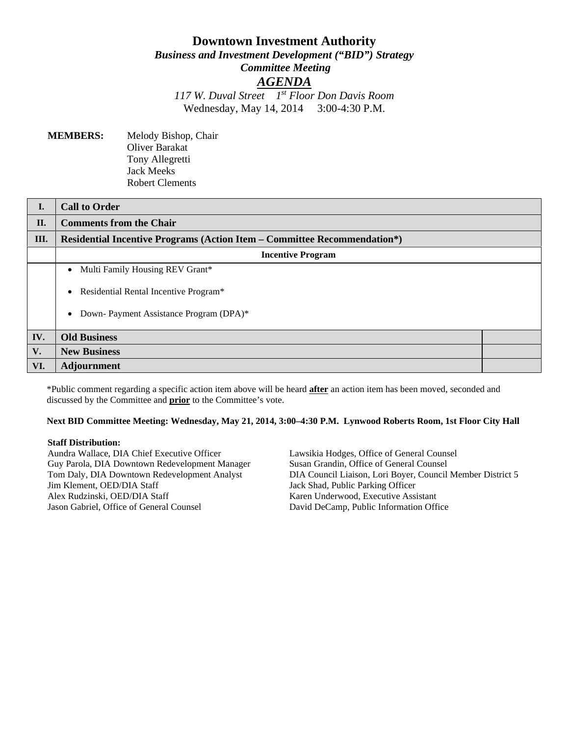# **Downtown Investment Authority** *Business and Investment Development ("BID") Strategy Committee Meeting AGENDA*

*117 W. Duval Street 1st Floor Don Davis Room* Wednesday, May 14, 2014 3:00-4:30 P.M.

**MEMBERS:** Melody Bishop, Chair Oliver Barakat Tony Allegretti Jack Meeks Robert Clements

| I.  | <b>Call to Order</b>                                                            |  |  |
|-----|---------------------------------------------------------------------------------|--|--|
| II. | <b>Comments from the Chair</b>                                                  |  |  |
| Ш.  | <b>Residential Incentive Programs (Action Item – Committee Recommendation*)</b> |  |  |
|     | <b>Incentive Program</b>                                                        |  |  |
|     | Multi Family Housing REV Grant*<br>$\bullet$                                    |  |  |
|     | Residential Rental Incentive Program*<br>$\bullet$                              |  |  |
|     | Down-Payment Assistance Program (DPA)*<br>$\bullet$                             |  |  |
| IV. | <b>Old Business</b>                                                             |  |  |
| V.  | <b>New Business</b>                                                             |  |  |
| VI. | <b>Adjournment</b>                                                              |  |  |

\*Public comment regarding a specific action item above will be heard **after** an action item has been moved, seconded and discussed by the Committee and **prior** to the Committee's vote.

#### **Next BID Committee Meeting: Wednesday, May 21, 2014, 3:00–4:30 P.M. Lynwood Roberts Room, 1st Floor City Hall**

#### **Staff Distribution:**

Aundra Wallace, DIA Chief Executive Officer Guy Parola, DIA Downtown Redevelopment Manager Tom Daly, DIA Downtown Redevelopment Analyst Jim Klement, OED/DIA Staff Alex Rudzinski, OED/DIA Staff Jason Gabriel, Office of General Counsel

Lawsikia Hodges, Office of General Counsel Susan Grandin, Office of General Counsel DIA Council Liaison, Lori Boyer, Council Member District 5 Jack Shad, Public Parking Officer Karen Underwood, Executive Assistant David DeCamp, Public Information Office